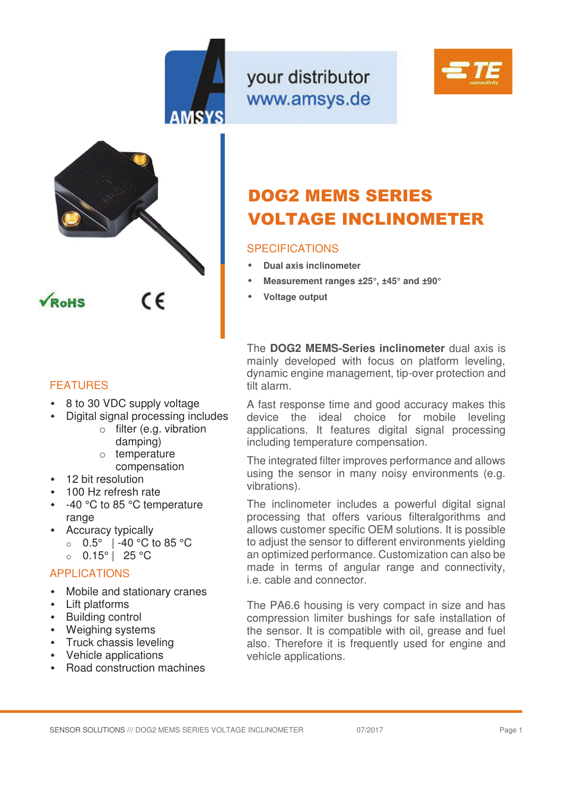

your distributor www.amsys.de





## FEATURES

- 8 to 30 VDC supply voltage
- Digital signal processing includes
	- o filter (e.g. vibration damping) o temperature
		- compensation
- 12 bit resolution
- 100 Hz refresh rate
- -40 °C to 85 °C temperature range
- Accuracy typically
	- o 0.5° | -40 °C to 85 °C
	- $\circ$  0.15° | 25 °C

## APPLICATIONS

- Mobile and stationary cranes
- Lift platforms
- **+** Building control
- Weighing systems
- **\*** Truck chassis leveling
- Vehicle applications
- Road construction machines

# DOG2 MEMS SERIES VOLTAGE INCLINOMETER

## SPECIFICATIONS

- **Dual axis inclinometer**
- **Measurement ranges ±25°, ±45° and ±90°**
- **Voltage output**

The **DOG2 MEMS-Series inclinometer** dual axis is mainly developed with focus on platform leveling, dynamic engine management, tip-over protection and tilt alarm.

A fast response time and good accuracy makes this device the ideal choice for mobile leveling applications. It features digital signal processing including temperature compensation.

The integrated filter improves performance and allows using the sensor in many noisy environments (e.g. vibrations).

The inclinometer includes a powerful digital signal processing that offers various filteralgorithms and allows customer specific OEM solutions. It is possible to adjust the sensor to different environments yielding an optimized performance. Customization can also be made in terms of angular range and connectivity, i.e. cable and connector.

The PA6.6 housing is very compact in size and has compression limiter bushings for safe installation of the sensor. It is compatible with oil, grease and fuel also. Therefore it is frequently used for engine and vehicle applications.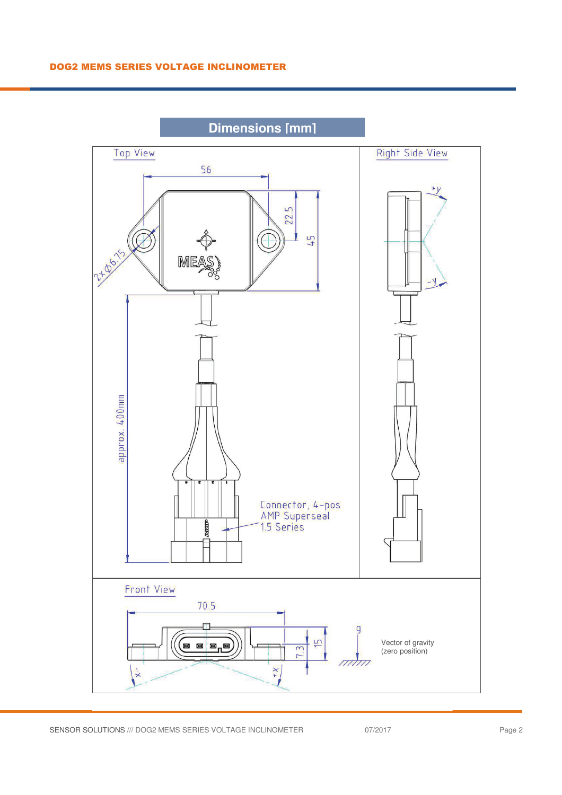

**Dimensions [mm]**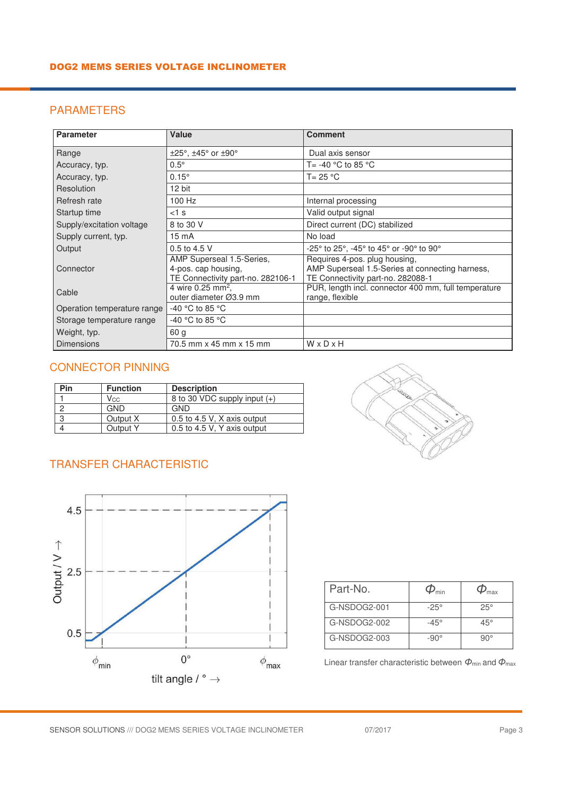#### DOG2 MEMS SERIES VOLTAGE INCLINOMETER

## PARAMETERS

| <b>Parameter</b>            | Value                                                                                 | <b>Comment</b>                                                                                                        |
|-----------------------------|---------------------------------------------------------------------------------------|-----------------------------------------------------------------------------------------------------------------------|
| Range                       | $\pm 25^\circ$ , $\pm 45^\circ$ or $\pm 90^\circ$                                     | Dual axis sensor                                                                                                      |
| Accuracy, typ.              | $0.5^\circ$                                                                           | T= -40 $^{\circ}$ C to 85 $^{\circ}$ C                                                                                |
| Accuracy, typ.              | $0.15^\circ$                                                                          | $T = 25 °C$                                                                                                           |
| Resolution                  | 12 bit                                                                                |                                                                                                                       |
| Refresh rate                | 100 Hz                                                                                | Internal processing                                                                                                   |
| Startup time                | $<$ 1 s                                                                               | Valid output signal                                                                                                   |
| Supply/excitation voltage   | 8 to 30 V                                                                             | Direct current (DC) stabilized                                                                                        |
| Supply current, typ.        | 15 mA                                                                                 | No load                                                                                                               |
| Output                      | 0.5 to 4.5 V                                                                          | -25° to 25°, -45° to 45° or -90° to 90°                                                                               |
| Connector                   | AMP Superseal 1.5-Series,<br>4-pos. cap housing,<br>TE Connectivity part-no. 282106-1 | Requires 4-pos. plug housing,<br>AMP Superseal 1.5-Series at connecting harness,<br>TE Connectivity part-no. 282088-1 |
| Cable                       | 4 wire 0.25 mm <sup>2</sup> ,<br>outer diameter Ø3.9 mm                               | PUR, length incl. connector 400 mm, full temperature<br>range, flexible                                               |
| Operation temperature range | -40 °C to 85 °C                                                                       |                                                                                                                       |
| Storage temperature range   | -40 °C to 85 °C                                                                       |                                                                                                                       |
| Weight, typ.                | 60 <sub>q</sub>                                                                       |                                                                                                                       |
| <b>Dimensions</b>           | 70.5 mm x 45 mm x 15 mm                                                               | WxDxH                                                                                                                 |

#### CONNECTOR PINNING

| Pin | <b>Function</b> | <b>Description</b>           |
|-----|-----------------|------------------------------|
|     | <b>Vcc</b>      | 8 to 30 VDC supply input (+) |
|     | GND             | GND                          |
| ◠   | Output X        | 0.5 to 4.5 V, X axis output  |
|     | Output Y        | 0.5 to 4.5 V, Y axis output  |

## TRANSFER CHARACTERISTIC





| Part-No.     |             | max        |
|--------------|-------------|------------|
| G-NSDOG2-001 | $-25^\circ$ | $25^\circ$ |
| G-NSDOG2-002 | $-45^\circ$ | $45^\circ$ |
| G-NSDOG2-003 | −90°        | ว∩∘        |

Linear transfer characteristic between  $\Phi_{min}$  and  $\Phi_{max}$